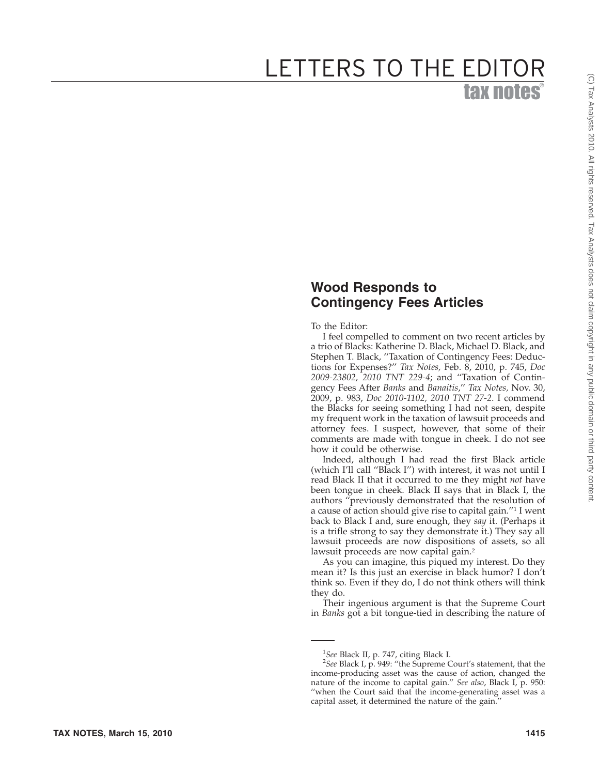## **Wood Responds to Contingency Fees Articles**

To the Editor:

I feel compelled to comment on two recent articles by a trio of Blacks: Katherine D. Black, Michael D. Black, and Stephen T. Black, ''Taxation of Contingency Fees: Deductions for Expenses?'' *Tax Notes,* Feb. 8, 2010, p. 745, *Doc 2009-23802, 2010 TNT 229-4*; and ''Taxation of Contingency Fees After *Banks* and *Banaitis*,'' *Tax Notes,* Nov. 30, 2009, p. 983, *Doc 2010-1102, 2010 TNT 27-2*. I commend the Blacks for seeing something I had not seen, despite my frequent work in the taxation of lawsuit proceeds and attorney fees. I suspect, however, that some of their comments are made with tongue in cheek. I do not see how it could be otherwise.

Indeed, although I had read the first Black article (which I'll call ''Black I'') with interest, it was not until I read Black II that it occurred to me they might *not* have been tongue in cheek. Black II says that in Black I, the authors ''previously demonstrated that the resolution of a cause of action should give rise to capital gain."<sup>1</sup> I went back to Black I and, sure enough, they *say* it. (Perhaps it is a trifle strong to say they demonstrate it.) They say all lawsuit proceeds are now dispositions of assets, so all lawsuit proceeds are now capital gain. 2

As you can imagine, this piqued my interest. Do they mean it? Is this just an exercise in black humor? I don't think so. Even if they do, I do not think others will think they do.

Their ingenious argument is that the Supreme Court in *Banks* got a bit tongue-tied in describing the nature of

<sup>1</sup> *See* Black II, p. 747, citing Black I. 2 *See* Black I, p. 949: ''the Supreme Court's statement, that the income-producing asset was the cause of action, changed the nature of the income to capital gain.'' *See also*, Black I, p. 950: ''when the Court said that the income-generating asset was a capital asset, it determined the nature of the gain.''